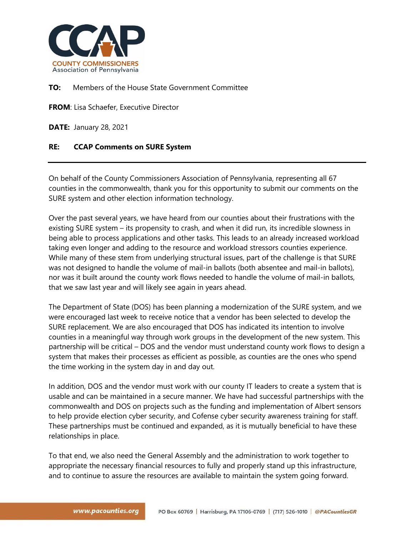

## **TO:** Members of the House State Government Committee

**FROM**: Lisa Schaefer, Executive Director

**DATE:** January 28, 2021

## **RE: CCAP Comments on SURE System**

On behalf of the County Commissioners Association of Pennsylvania, representing all 67 counties in the commonwealth, thank you for this opportunity to submit our comments on the SURE system and other election information technology.

Over the past several years, we have heard from our counties about their frustrations with the existing SURE system – its propensity to crash, and when it did run, its incredible slowness in being able to process applications and other tasks. This leads to an already increased workload taking even longer and adding to the resource and workload stressors counties experience. While many of these stem from underlying structural issues, part of the challenge is that SURE was not designed to handle the volume of mail-in ballots (both absentee and mail-in ballots), nor was it built around the county work flows needed to handle the volume of mail-in ballots, that we saw last year and will likely see again in years ahead.

The Department of State (DOS) has been planning a modernization of the SURE system, and we were encouraged last week to receive notice that a vendor has been selected to develop the SURE replacement. We are also encouraged that DOS has indicated its intention to involve counties in a meaningful way through work groups in the development of the new system. This partnership will be critical – DOS and the vendor must understand county work flows to design a system that makes their processes as efficient as possible, as counties are the ones who spend the time working in the system day in and day out.

In addition, DOS and the vendor must work with our county IT leaders to create a system that is usable and can be maintained in a secure manner. We have had successful partnerships with the commonwealth and DOS on projects such as the funding and implementation of Albert sensors to help provide election cyber security, and Cofense cyber security awareness training for staff. These partnerships must be continued and expanded, as it is mutually beneficial to have these relationships in place.

To that end, we also need the General Assembly and the administration to work together to appropriate the necessary financial resources to fully and properly stand up this infrastructure, and to continue to assure the resources are available to maintain the system going forward.